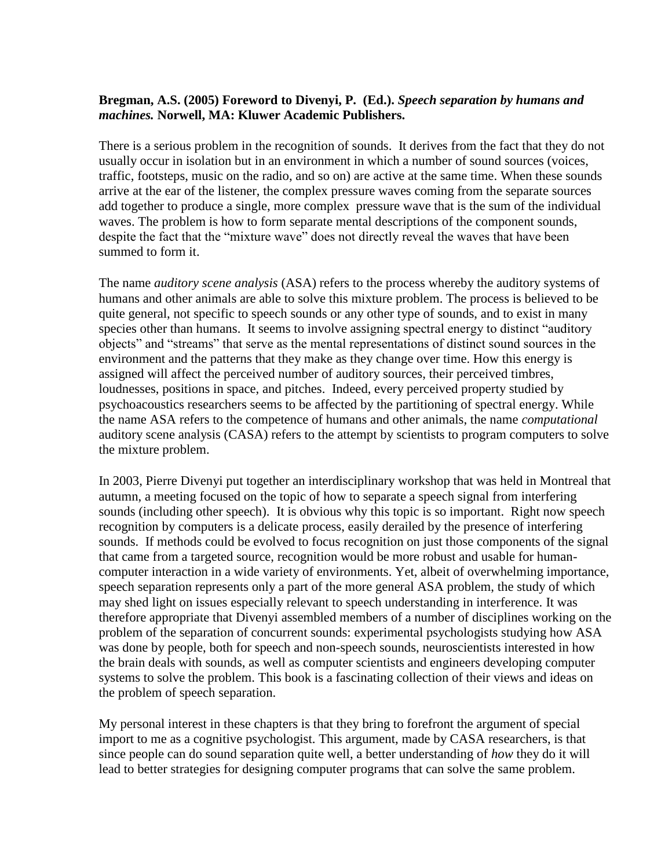## **Bregman, A.S. (2005) Foreword to Divenyi, P. (Ed.).** *Speech separation by humans and machines.* **Norwell, MA: Kluwer Academic Publishers.**

There is a serious problem in the recognition of sounds. It derives from the fact that they do not usually occur in isolation but in an environment in which a number of sound sources (voices, traffic, footsteps, music on the radio, and so on) are active at the same time. When these sounds arrive at the ear of the listener, the complex pressure waves coming from the separate sources add together to produce a single, more complex pressure wave that is the sum of the individual waves. The problem is how to form separate mental descriptions of the component sounds, despite the fact that the "mixture wave" does not directly reveal the waves that have been summed to form it.

The name *auditory scene analysis* (ASA) refers to the process whereby the auditory systems of humans and other animals are able to solve this mixture problem. The process is believed to be quite general, not specific to speech sounds or any other type of sounds, and to exist in many species other than humans. It seems to involve assigning spectral energy to distinct "auditory objects" and "streams" that serve as the mental representations of distinct sound sources in the environment and the patterns that they make as they change over time. How this energy is assigned will affect the perceived number of auditory sources, their perceived timbres, loudnesses, positions in space, and pitches. Indeed, every perceived property studied by psychoacoustics researchers seems to be affected by the partitioning of spectral energy. While the name ASA refers to the competence of humans and other animals, the name *computational* auditory scene analysis (CASA) refers to the attempt by scientists to program computers to solve the mixture problem.

In 2003, Pierre Divenyi put together an interdisciplinary workshop that was held in Montreal that autumn, a meeting focused on the topic of how to separate a speech signal from interfering sounds (including other speech). It is obvious why this topic is so important. Right now speech recognition by computers is a delicate process, easily derailed by the presence of interfering sounds. If methods could be evolved to focus recognition on just those components of the signal that came from a targeted source, recognition would be more robust and usable for humancomputer interaction in a wide variety of environments. Yet, albeit of overwhelming importance, speech separation represents only a part of the more general ASA problem, the study of which may shed light on issues especially relevant to speech understanding in interference. It was therefore appropriate that Divenyi assembled members of a number of disciplines working on the problem of the separation of concurrent sounds: experimental psychologists studying how ASA was done by people, both for speech and non-speech sounds, neuroscientists interested in how the brain deals with sounds, as well as computer scientists and engineers developing computer systems to solve the problem. This book is a fascinating collection of their views and ideas on the problem of speech separation.

My personal interest in these chapters is that they bring to forefront the argument of special import to me as a cognitive psychologist. This argument, made by CASA researchers, is that since people can do sound separation quite well, a better understanding of *how* they do it will lead to better strategies for designing computer programs that can solve the same problem.